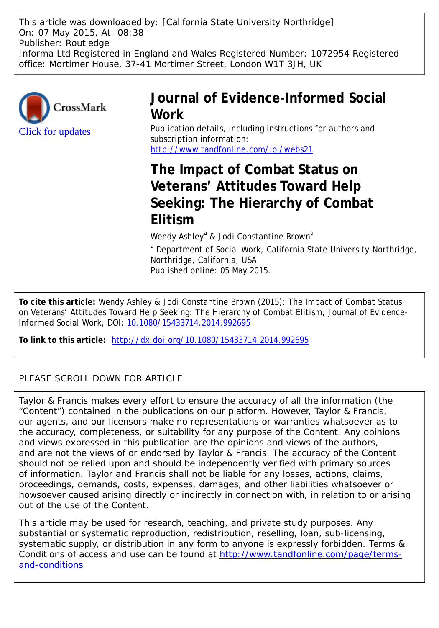This article was downloaded by: [California State University Northridge] On: 07 May 2015, At: 08:38 Publisher: Routledge Informa Ltd Registered in England and Wales Registered Number: 1072954 Registered office: Mortimer House, 37-41 Mortimer Street, London W1T 3JH, UK



# **Journal of Evidence-Informed Social Work**

Publication details, including instructions for authors and subscription information: <http://www.tandfonline.com/loi/webs21>

# **The Impact of Combat Status on Veterans' Attitudes Toward Help Seeking: The Hierarchy of Combat Elitism**

Wendy Ashley<sup>a</sup> & Jodi Constantine Brown<sup>a</sup>

<sup>a</sup> Department of Social Work, California State University-Northridge, Northridge, California, USA Published online: 05 May 2015.

**To cite this article:** Wendy Ashley & Jodi Constantine Brown (2015): The Impact of Combat Status on Veterans' Attitudes Toward Help Seeking: The Hierarchy of Combat Elitism, Journal of Evidence-Informed Social Work, DOI: [10.1080/15433714.2014.992695](http://www.tandfonline.com/action/showCitFormats?doi=10.1080/15433714.2014.992695)

**To link to this article:** <http://dx.doi.org/10.1080/15433714.2014.992695>

# PLEASE SCROLL DOWN FOR ARTICLE

Taylor & Francis makes every effort to ensure the accuracy of all the information (the "Content") contained in the publications on our platform. However, Taylor & Francis, our agents, and our licensors make no representations or warranties whatsoever as to the accuracy, completeness, or suitability for any purpose of the Content. Any opinions and views expressed in this publication are the opinions and views of the authors, and are not the views of or endorsed by Taylor & Francis. The accuracy of the Content should not be relied upon and should be independently verified with primary sources of information. Taylor and Francis shall not be liable for any losses, actions, claims, proceedings, demands, costs, expenses, damages, and other liabilities whatsoever or howsoever caused arising directly or indirectly in connection with, in relation to or arising out of the use of the Content.

This article may be used for research, teaching, and private study purposes. Any substantial or systematic reproduction, redistribution, reselling, loan, sub-licensing, systematic supply, or distribution in any form to anyone is expressly forbidden. Terms & Conditions of access and use can be found at [http://www.tandfonline.com/page/terms](http://www.tandfonline.com/page/terms-and-conditions)[and-conditions](http://www.tandfonline.com/page/terms-and-conditions)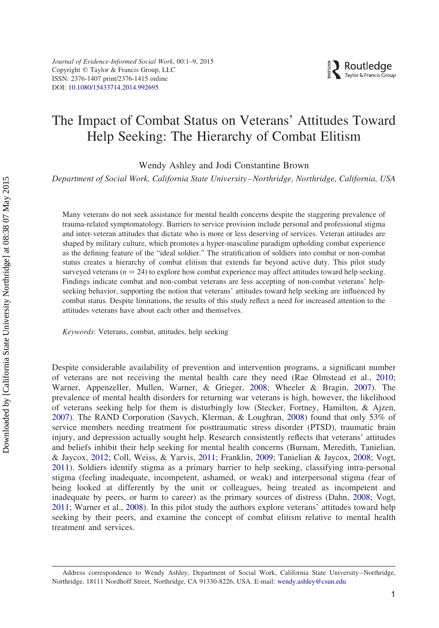# The Impact of Combat Status on Veterans' Attitudes Toward Help Seeking: The Hierarchy of Combat Elitism

Wendy Ashley and Jodi Constantine Brown

Department of Social Work, California State University –Northridge, Northridge, California, USA

Many veterans do not seek assistance for mental health concerns despite the staggering prevalence of trauma-related symptomatology. Barriers to service provision include personal and professional stigma and inter-veteran attitudes that dictate who is more or less deserving of services. Veteran attitudes are shaped by military culture, which promotes a hyper-masculine paradigm upholding combat experience as the defining feature of the "ideal soldier." The stratification of soldiers into combat or non-combat status creates a hierarchy of combat elitism that extends far beyond active duty. This pilot study surveyed veterans ( $n = 24$ ) to explore how combat experience may affect attitudes toward help seeking. Findings indicate combat and non-combat veterans are less accepting of non-combat veterans' helpseeking behavior, supporting the notion that veterans' attitudes toward help seeking are influenced by combat status. Despite limitations, the results of this study reflect a need for increased attention to the attitudes veterans have about each other and themselves.

Keywords: Veterans, combat, attitudes, help seeking

Despite considerable availability of prevention and intervention programs, a significant number of veterans are not receiving the mental health care they need (Rae Olmstead et al., [2010;](#page-9-0) Warner, Appenzeller, Mullen, Warner, & Grieger, [2008;](#page-9-0) Wheeler & Bragin, [2007\)](#page-9-0). The prevalence of mental health disorders for returning war veterans is high, however, the likelihood of veterans seeking help for them is disturbingly low (Stecker, Fortney, Hamilton, & Ajzen, [2007\)](#page-9-0). The RAND Corporation (Savych, Klerman, & Loughran, [2008\)](#page-9-0) found that only 53% of service members needing treatment for posttraumatic stress disorder (PTSD), traumatic brain injury, and depression actually sought help. Research consistently reflects that veterans' attitudes and beliefs inhibit their help seeking for mental health concerns (Burnam, Meredith, Tanielian, & Jaycox, [2012](#page-8-0); Coll, Weiss, & Yarvis, [2011;](#page-8-0) Franklin, [2009;](#page-9-0) Tanielian & Jaycox, [2008;](#page-9-0) Vogt, [2011\)](#page-9-0). Soldiers identify stigma as a primary barrier to help seeking, classifying intra-personal stigma (feeling inadequate, incompetent, ashamed, or weak) and interpersonal stigma (fear of being looked at differently by the unit or colleagues, being treated as incompetent and inadequate by peers, or harm to career) as the primary sources of distress (Dahn, [2008](#page-8-0); Vogt, [2011;](#page-9-0) Warner et al., [2008](#page-9-0)). In this pilot study the authors explore veterans' attitudes toward help seeking by their peers, and examine the concept of combat elitism relative to mental health treatment and services.

Address correspondence to Wendy Ashley, Department of Social Work, California State University–Northridge, Northridge, 18111 Nordhoff Street, Northridge, CA 91330-8226, USA. E-mail: [wendy.ashley@csun.edu](mailto:wendy.ashley@csun.edu)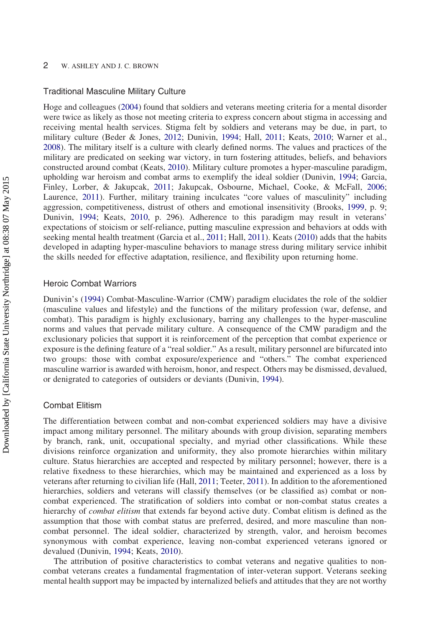# Traditional Masculine Military Culture

Hoge and colleagues ([2004\)](#page-9-0) found that soldiers and veterans meeting criteria for a mental disorder were twice as likely as those not meeting criteria to express concern about stigma in accessing and receiving mental health services. Stigma felt by soldiers and veterans may be due, in part, to military culture (Beder & Jones, [2012](#page-8-0); Dunivin, [1994](#page-8-0); Hall, [2011](#page-9-0); Keats, [2010](#page-9-0); Warner et al., [2008\)](#page-9-0). The military itself is a culture with clearly defined norms. The values and practices of the military are predicated on seeking war victory, in turn fostering attitudes, beliefs, and behaviors constructed around combat (Keats, [2010\)](#page-9-0). Military culture promotes a hyper-masculine paradigm, upholding war heroism and combat arms to exemplify the ideal soldier (Dunivin, [1994;](#page-8-0) Garcia, Finley, Lorber, & Jakupcak, [2011;](#page-9-0) Jakupcak, Osbourne, Michael, Cooke, & McFall, [2006](#page-9-0); Laurence, [2011](#page-9-0)). Further, military training inculcates "core values of masculinity" including aggression, competitiveness, distrust of others and emotional insensitivity (Brooks, [1999](#page-8-0), p. 9; Dunivin, [1994;](#page-8-0) Keats, [2010,](#page-9-0) p. 296). Adherence to this paradigm may result in veterans' expectations of stoicism or self-reliance, putting masculine expression and behaviors at odds with seeking mental health treatment (Garcia et al., [2011](#page-9-0); Hall, [2011\)](#page-9-0). Keats [\(2010](#page-9-0)) adds that the habits developed in adapting hyper-masculine behaviors to manage stress during military service inhibit the skills needed for effective adaptation, resilience, and flexibility upon returning home.

# Heroic Combat Warriors

Dunivin's [\(1994\)](#page-8-0) Combat-Masculine-Warrior (CMW) paradigm elucidates the role of the soldier (masculine values and lifestyle) and the functions of the military profession (war, defense, and combat). This paradigm is highly exclusionary, barring any challenges to the hyper-masculine norms and values that pervade military culture. A consequence of the CMW paradigm and the exclusionary policies that support it is reinforcement of the perception that combat experience or exposure is the defining feature of a "real soldier." As a result, military personnel are bifurcated into two groups: those with combat exposure/experience and "others." The combat experienced masculine warrior is awarded with heroism, honor, and respect. Others may be dismissed, devalued, or denigrated to categories of outsiders or deviants (Dunivin, [1994](#page-8-0)).

# Combat Elitism

The differentiation between combat and non-combat experienced soldiers may have a divisive impact among military personnel. The military abounds with group division, separating members by branch, rank, unit, occupational specialty, and myriad other classifications. While these divisions reinforce organization and uniformity, they also promote hierarchies within military culture. Status hierarchies are accepted and respected by military personnel; however, there is a relative fixedness to these hierarchies, which may be maintained and experienced as a loss by veterans after returning to civilian life (Hall, [2011;](#page-9-0) Teeter, [2011](#page-9-0)). In addition to the aforementioned hierarchies, soldiers and veterans will classify themselves (or be classified as) combat or noncombat experienced. The stratification of soldiers into combat or non-combat status creates a hierarchy of *combat elitism* that extends far beyond active duty. Combat elitism is defined as the assumption that those with combat status are preferred, desired, and more masculine than noncombat personnel. The ideal soldier, characterized by strength, valor, and heroism becomes synonymous with combat experience, leaving non-combat experienced veterans ignored or devalued (Dunivin, [1994](#page-8-0); Keats, [2010](#page-9-0)).

The attribution of positive characteristics to combat veterans and negative qualities to noncombat veterans creates a fundamental fragmentation of inter-veteran support. Veterans seeking mental health support may be impacted by internalized beliefs and attitudes that they are not worthy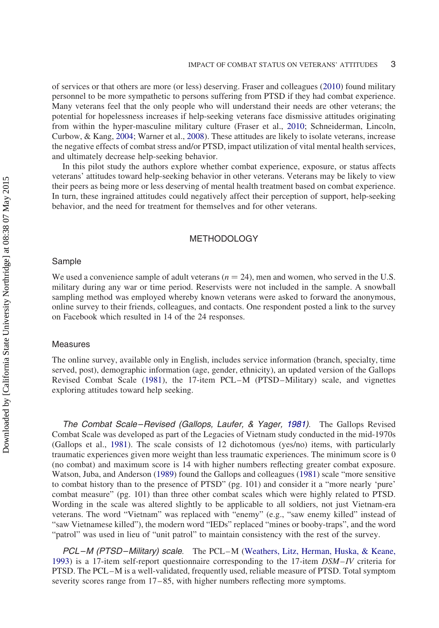of services or that others are more (or less) deserving. Fraser and colleagues ([2010\)](#page-9-0) found military personnel to be more sympathetic to persons suffering from PTSD if they had combat experience. Many veterans feel that the only people who will understand their needs are other veterans; the potential for hopelessness increases if help-seeking veterans face dismissive attitudes originating from within the hyper-masculine military culture (Fraser et al., [2010;](#page-9-0) Schneiderman, Lincoln, Curbow, & Kang, [2004](#page-9-0); Warner et al., [2008\)](#page-9-0). These attitudes are likely to isolate veterans, increase the negative effects of combat stress and/or PTSD, impact utilization of vital mental health services, and ultimately decrease help-seeking behavior.

In this pilot study the authors explore whether combat experience, exposure, or status affects veterans' attitudes toward help-seeking behavior in other veterans. Veterans may be likely to view their peers as being more or less deserving of mental health treatment based on combat experience. In turn, these ingrained attitudes could negatively affect their perception of support, help-seeking behavior, and the need for treatment for themselves and for other veterans.

## **METHODOLOGY**

#### Sample

We used a convenience sample of adult veterans  $(n = 24)$ , men and women, who served in the U.S. military during any war or time period. Reservists were not included in the sample. A snowball sampling method was employed whereby known veterans were asked to forward the anonymous, online survey to their friends, colleagues, and contacts. One respondent posted a link to the survey on Facebook which resulted in 14 of the 24 responses.

#### Measures

The online survey, available only in English, includes service information (branch, specialty, time served, post), demographic information (age, gender, ethnicity), an updated version of the Gallops Revised Combat Scale [\(1981](#page-9-0)), the 17-item PCL –M (PTSD –Military) scale, and vignettes exploring attitudes toward help seeking.

The Combat Scale–Revised (Gallops, Laufer, & Yager, [1981\)](#page-9-0). The Gallops Revised Combat Scale was developed as part of the Legacies of Vietnam study conducted in the mid-1970s (Gallops et al., [1981\)](#page-9-0). The scale consists of 12 dichotomous (yes/no) items, with particularly traumatic experiences given more weight than less traumatic experiences. The minimum score is 0 (no combat) and maximum score is 14 with higher numbers reflecting greater combat exposure. Watson, Juba, and Anderson ([1989\)](#page-9-0) found the Gallops and colleagues ([1981\)](#page-9-0) scale "more sensitive to combat history than to the presence of PTSD" (pg. 101) and consider it a "more nearly 'pure' combat measure" (pg. 101) than three other combat scales which were highly related to PTSD. Wording in the scale was altered slightly to be applicable to all soldiers, not just Vietnam-era veterans. The word "Vietnam" was replaced with "enemy" (e.g., "saw enemy killed" instead of "saw Vietnamese killed"), the modern word "IEDs" replaced "mines or booby-traps", and the word "patrol" was used in lieu of "unit patrol" to maintain consistency with the rest of the survey.

PCL–M (PTSD–Military) scale. The PCL–M ([Weathers, Litz, Herman, Huska, & Keane,](#page-9-0) [1993\)](#page-9-0) is a 17-item self-report questionnaire corresponding to the 17-item DSM-IV criteria for PTSD. The PCL –M is a well-validated, frequently used, reliable measure of PTSD. Total symptom severity scores range from 17–85, with higher numbers reflecting more symptoms.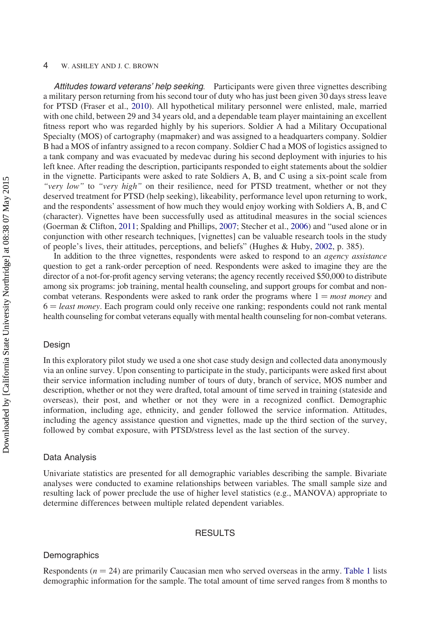#### 4 W. ASHLEY AND J. C. BROWN

Attitudes toward veterans' help seeking. Participants were given three vignettes describing a military person returning from his second tour of duty who has just been given 30 days stress leave for PTSD (Fraser et al., [2010\)](#page-9-0). All hypothetical military personnel were enlisted, male, married with one child, between 29 and 34 years old, and a dependable team player maintaining an excellent fitness report who was regarded highly by his superiors. Soldier A had a Military Occupational Specialty (MOS) of cartography (mapmaker) and was assigned to a headquarters company. Soldier B had a MOS of infantry assigned to a recon company. Soldier C had a MOS of logistics assigned to a tank company and was evacuated by medevac during his second deployment with injuries to his left knee. After reading the description, participants responded to eight statements about the soldier in the vignette. Participants were asked to rate Soldiers A, B, and C using a six-point scale from "very low" to "very high" on their resilience, need for PTSD treatment, whether or not they deserved treatment for PTSD (help seeking), likeability, performance level upon returning to work, and the respondents' assessment of how much they would enjoy working with Soldiers A, B, and C (character). Vignettes have been successfully used as attitudinal measures in the social sciences (Goerman & Clifton, [2011](#page-9-0); Spalding and Phillips, [2007;](#page-9-0) Stecher et al., [2006\)](#page-9-0) and "used alone or in conjunction with other research techniques, [vignettes] can be valuable research tools in the study of people's lives, their attitudes, perceptions, and beliefs" (Hughes & Huby, [2002,](#page-9-0) p. 385).

In addition to the three vignettes, respondents were asked to respond to an *agency assistance* question to get a rank-order perception of need. Respondents were asked to imagine they are the director of a not-for-profit agency serving veterans; the agency recently received \$50,000 to distribute among six programs: job training, mental health counseling, and support groups for combat and noncombat veterans. Respondents were asked to rank order the programs where  $1 = most money$  and  $6 = least money$ . Each program could only receive one ranking; respondents could not rank mental health counseling for combat veterans equally with mental health counseling for non-combat veterans.

## Design

In this exploratory pilot study we used a one shot case study design and collected data anonymously via an online survey. Upon consenting to participate in the study, participants were asked first about their service information including number of tours of duty, branch of service, MOS number and description, whether or not they were drafted, total amount of time served in training (stateside and overseas), their post, and whether or not they were in a recognized conflict. Demographic information, including age, ethnicity, and gender followed the service information. Attitudes, including the agency assistance question and vignettes, made up the third section of the survey, followed by combat exposure, with PTSD/stress level as the last section of the survey.

#### Data Analysis

Univariate statistics are presented for all demographic variables describing the sample. Bivariate analyses were conducted to examine relationships between variables. The small sample size and resulting lack of power preclude the use of higher level statistics (e.g., MANOVA) appropriate to determine differences between multiple related dependent variables.

# **RESULTS**

# **Demographics**

Respondents ( $n = 24$ ) are primarily Caucasian men who served overseas in the army. [Table 1](#page-5-0) lists demographic information for the sample. The total amount of time served ranges from 8 months to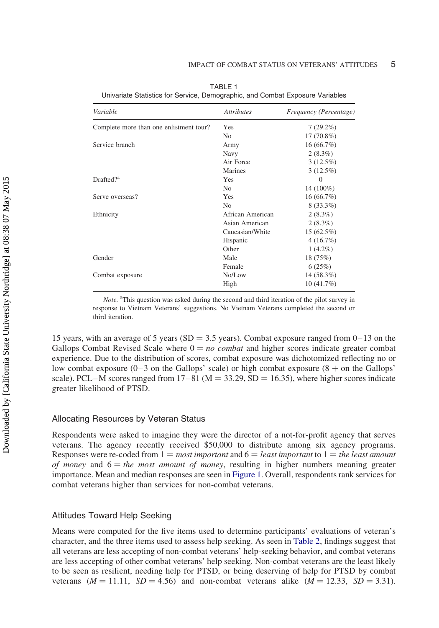| Variable                                | <b>Attributes</b> | Frequency (Percentage) |
|-----------------------------------------|-------------------|------------------------|
| Complete more than one enlistment tour? | Yes               | $7(29.2\%)$            |
|                                         | No                | 17 (70.8%)             |
| Service branch                          | Army              | 16(66.7%)              |
|                                         | Navy              | $2(8.3\%)$             |
|                                         | Air Force         | $3(12.5\%)$            |
|                                         | Marines           | $3(12.5\%)$            |
| Drafted? <sup>a</sup>                   | Yes               | $\mathbf{\Omega}$      |
|                                         | N <sub>0</sub>    | 14 (100%)              |
| Serve overseas?                         | Yes               | 16 (66.7%)             |
|                                         | N <sub>0</sub>    | $8(33.3\%)$            |
| Ethnicity                               | African American  | $2(8.3\%)$             |
|                                         | Asian American    | $2(8.3\%)$             |
|                                         | Caucasian/White   | 15 (62.5%)             |
|                                         | Hispanic          | 4(16.7%)               |
|                                         | Other             | $1(4.2\%)$             |
| Gender                                  | Male              | 18 (75%)               |
|                                         | Female            | 6(25%)                 |
| Combat exposure                         | No/Low            | 14 (58.3%)             |
|                                         | High              | 10 (41.7%)             |

<span id="page-5-0"></span>TABLE 1 Univariate Statistics for Service, Demographic, and Combat Exposure Variables

Note. <sup>a</sup>This question was asked during the second and third iteration of the pilot survey in response to Vietnam Veterans' suggestions. No Vietnam Veterans completed the second or third iteration.

15 years, with an average of 5 years (SD = 3.5 years). Combat exposure ranged from  $0-13$  on the Gallops Combat Revised Scale where  $0 = no$  *combat* and higher scores indicate greater combat experience. Due to the distribution of scores, combat exposure was dichotomized reflecting no or low combat exposure  $(0-3)$  on the Gallops' scale) or high combat exposure  $(8 +$  on the Gallops' scale). PCL – M scores ranged from  $17-81$  (M = 33.29, SD = 16.35), where higher scores indicate greater likelihood of PTSD.

# Allocating Resources by Veteran Status

Respondents were asked to imagine they were the director of a not-for-profit agency that serves veterans. The agency recently received \$50,000 to distribute among six agency programs. Responses were re-coded from  $1 = most important$  and  $6 = least important$  to  $1 = the least amount$ of money and  $6 =$  the most amount of money, resulting in higher numbers meaning greater importance. Mean and median responses are seen in [Figure 1.](#page-6-0) Overall, respondents rank services for combat veterans higher than services for non-combat veterans.

# Attitudes Toward Help Seeking

Means were computed for the five items used to determine participants' evaluations of veteran's character, and the three items used to assess help seeking. As seen in [Table 2](#page-6-0), findings suggest that all veterans are less accepting of non-combat veterans' help-seeking behavior, and combat veterans are less accepting of other combat veterans' help seeking. Non-combat veterans are the least likely to be seen as resilient, needing help for PTSD, or being deserving of help for PTSD by combat veterans  $(M = 11.11, SD = 4.56)$  and non-combat veterans alike  $(M = 12.33, SD = 3.31)$ .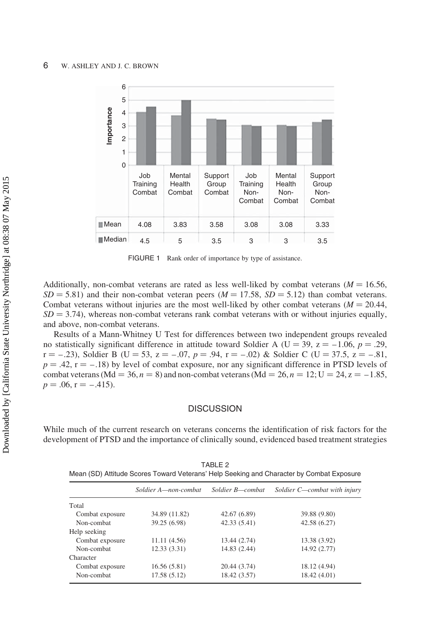<span id="page-6-0"></span>

FIGURE 1 Rank order of importance by type of assistance.

Additionally, non-combat veterans are rated as less well-liked by combat veterans ( $M = 16.56$ ,  $SD = 5.81$ ) and their non-combat veteran peers ( $M = 17.58$ ,  $SD = 5.12$ ) than combat veterans. Combat veterans without injuries are the most well-liked by other combat veterans ( $M = 20.44$ ,  $SD = 3.74$ ), whereas non-combat veterans rank combat veterans with or without injuries equally, and above, non-combat veterans.

Results of a Mann-Whitney U Test for differences between two independent groups revealed no statistically significant difference in attitude toward Soldier A (U = 39,  $z = -1.06$ ,  $p = .29$ .  $r = -.23$ ), Soldier B (U = 53, z = -.07, p = .94, r = -.02) & Soldier C (U = 37.5, z = -.81,  $p = .42$ ,  $r = -.18$ ) by level of combat exposure, nor any significant difference in PTSD levels of combat veterans (Md = 36, n = 8) and non-combat veterans (Md = 26, n = 12; U = 24, z = -1.85,  $p = .06$ ,  $r = -.415$ ).

# **DISCUSSION**

While much of the current research on veterans concerns the identification of risk factors for the development of PTSD and the importance of clinically sound, evidenced based treatment strategies

| Mean (SD) Attitude Scores Toward Veterans' Help Seeking and Character by Combat Exposure |                      |                  |                              |  |
|------------------------------------------------------------------------------------------|----------------------|------------------|------------------------------|--|
|                                                                                          | Soldier A—non-combat | Soldier B-combat | Soldier C-combat with injury |  |
| Total                                                                                    |                      |                  |                              |  |
| Combat exposure                                                                          | 34.89 (11.82)        | 42.67 (6.89)     | 39.88 (9.80)                 |  |
| Non-combat                                                                               | 39.25 (6.98)         | 42.33(5.41)      | 42.58 (6.27)                 |  |
| Help seeking                                                                             |                      |                  |                              |  |
| Combat exposure                                                                          | 11.11(4.56)          | 13.44 (2.74)     | 13.38 (3.92)                 |  |
| Non-combat                                                                               | 12.33(3.31)          | 14.83 (2.44)     | 14.92 (2.77)                 |  |
| Character                                                                                |                      |                  |                              |  |
| Combat exposure                                                                          | 16.56(5.81)          | 20.44 (3.74)     | 18.12 (4.94)                 |  |
| Non-combat                                                                               | 17.58 (5.12)         | 18.42 (3.57)     | 18.42 (4.01)                 |  |

TABLE<sub>2</sub>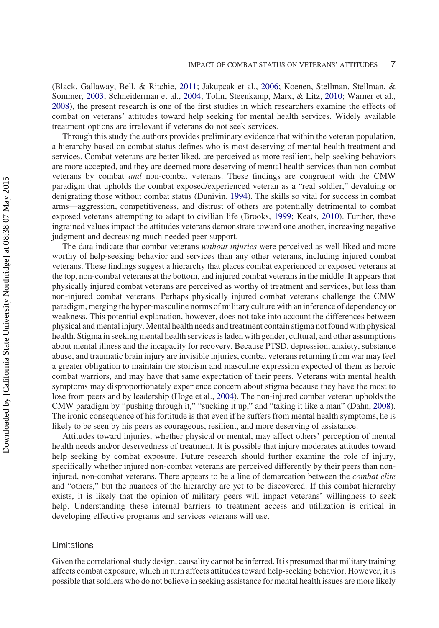(Black, Gallaway, Bell, & Ritchie, [2011](#page-8-0); Jakupcak et al., [2006;](#page-9-0) Koenen, Stellman, Stellman, & Sommer, [2003](#page-9-0); Schneiderman et al., [2004;](#page-9-0) Tolin, Steenkamp, Marx, & Litz, [2010;](#page-9-0) Warner et al., [2008\)](#page-9-0), the present research is one of the first studies in which researchers examine the effects of combat on veterans' attitudes toward help seeking for mental health services. Widely available treatment options are irrelevant if veterans do not seek services.

Through this study the authors provides preliminary evidence that within the veteran population, a hierarchy based on combat status defines who is most deserving of mental health treatment and services. Combat veterans are better liked, are perceived as more resilient, help-seeking behaviors are more accepted, and they are deemed more deserving of mental health services than non-combat veterans by combat and non-combat veterans. These findings are congruent with the CMW paradigm that upholds the combat exposed/experienced veteran as a "real soldier," devaluing or denigrating those without combat status (Dunivin, [1994](#page-8-0)). The skills so vital for success in combat arms—aggression, competitiveness, and distrust of others are potentially detrimental to combat exposed veterans attempting to adapt to civilian life (Brooks, [1999](#page-8-0); Keats, [2010](#page-9-0)). Further, these ingrained values impact the attitudes veterans demonstrate toward one another, increasing negative judgment and decreasing much needed peer support.

The data indicate that combat veterans *without injuries* were perceived as well liked and more worthy of help-seeking behavior and services than any other veterans, including injured combat veterans. These findings suggest a hierarchy that places combat experienced or exposed veterans at the top, non-combat veterans at the bottom, and injured combat veterans in the middle. It appears that physically injured combat veterans are perceived as worthy of treatment and services, but less than non-injured combat veterans. Perhaps physically injured combat veterans challenge the CMW paradigm, merging the hyper-masculine norms of military culture with an inference of dependency or weakness. This potential explanation, however, does not take into account the differences between physical and mental injury. Mental health needs and treatment contain stigma not found with physical health. Stigma in seeking mental health services is laden with gender, cultural, and other assumptions about mental illness and the incapacity for recovery. Because PTSD, depression, anxiety, substance abuse, and traumatic brain injury are invisible injuries, combat veterans returning from war may feel a greater obligation to maintain the stoicism and masculine expression expected of them as heroic combat warriors, and may have that same expectation of their peers. Veterans with mental health symptoms may disproportionately experience concern about stigma because they have the most to lose from peers and by leadership (Hoge et al., [2004\)](#page-9-0). The non-injured combat veteran upholds the CMW paradigm by "pushing through it," "sucking it up," and "taking it like a man" (Dahn, [2008](#page-8-0)). The ironic consequence of his fortitude is that even if he suffers from mental health symptoms, he is likely to be seen by his peers as courageous, resilient, and more deserving of assistance.

Attitudes toward injuries, whether physical or mental, may affect others' perception of mental health needs and/or deservedness of treatment. It is possible that injury moderates attitudes toward help seeking by combat exposure. Future research should further examine the role of injury, specifically whether injured non-combat veterans are perceived differently by their peers than noninjured, non-combat veterans. There appears to be a line of demarcation between the *combat elite* and "others," but the nuances of the hierarchy are yet to be discovered. If this combat hierarchy exists, it is likely that the opinion of military peers will impact veterans' willingness to seek help. Understanding these internal barriers to treatment access and utilization is critical in developing effective programs and services veterans will use.

#### Limitations

Given the correlational study design, causality cannot be inferred. It is presumed that military training affects combat exposure, which in turn affects attitudes toward help-seeking behavior. However, it is possible that soldiers who do not believe in seeking assistance for mental health issues are more likely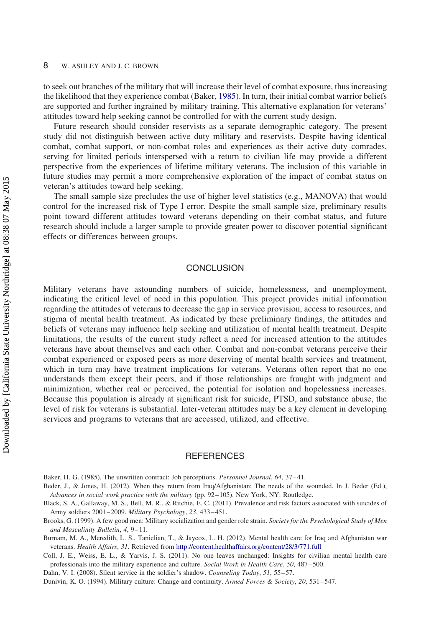#### <span id="page-8-0"></span>8 W. ASHLEY AND J. C. BROWN

to seek out branches of the military that will increase their level of combat exposure, thus increasing the likelihood that they experience combat (Baker, 1985). In turn, their initial combat warrior beliefs are supported and further ingrained by military training. This alternative explanation for veterans' attitudes toward help seeking cannot be controlled for with the current study design.

Future research should consider reservists as a separate demographic category. The present study did not distinguish between active duty military and reservists. Despite having identical combat, combat support, or non-combat roles and experiences as their active duty comrades, serving for limited periods interspersed with a return to civilian life may provide a different perspective from the experiences of lifetime military veterans. The inclusion of this variable in future studies may permit a more comprehensive exploration of the impact of combat status on veteran's attitudes toward help seeking.

The small sample size precludes the use of higher level statistics (e.g., MANOVA) that would control for the increased risk of Type I error. Despite the small sample size, preliminary results point toward different attitudes toward veterans depending on their combat status, and future research should include a larger sample to provide greater power to discover potential significant effects or differences between groups.

# **CONCLUSION**

Military veterans have astounding numbers of suicide, homelessness, and unemployment, indicating the critical level of need in this population. This project provides initial information regarding the attitudes of veterans to decrease the gap in service provision, access to resources, and stigma of mental health treatment. As indicated by these preliminary findings, the attitudes and beliefs of veterans may influence help seeking and utilization of mental health treatment. Despite limitations, the results of the current study reflect a need for increased attention to the attitudes veterans have about themselves and each other. Combat and non-combat veterans perceive their combat experienced or exposed peers as more deserving of mental health services and treatment, which in turn may have treatment implications for veterans. Veterans often report that no one understands them except their peers, and if those relationships are fraught with judgment and minimization, whether real or perceived, the potential for isolation and hopelessness increases. Because this population is already at significant risk for suicide, PTSD, and substance abuse, the level of risk for veterans is substantial. Inter-veteran attitudes may be a key element in developing services and programs to veterans that are accessed, utilized, and effective.

# **REFERENCES**

Baker, H. G. (1985). The unwritten contract: Job perceptions. Personnel Journal, 64, 37–41.

- Beder, J., & Jones, H. (2012). When they return from Iraq/Afghanistan: The needs of the wounded. In J. Beder (Ed.), Advances in social work practice with the military (pp. 92–105). New York, NY: Routledge.
- Black, S. A., Gallaway, M. S., Bell, M. R., & Ritchie, E. C. (2011). Prevalence and risk factors associated with suicides of Army soldiers 2001–2009. Military Psychology, 23, 433– 451.
- Brooks, G. (1999). A few good men: Military socialization and gender role strain. Society for the Psychological Study of Men and Masculinity Bulletin, 4, 9–11.

Burnam, M. A., Meredith, L. S., Tanielian, T., & Jaycox, L. H. (2012). Mental health care for Iraq and Afghanistan war veterans. Health Affairs, 31. Retrieved from <http://content.healthaffairs.org/content/28/3/771.full>

Coll, J. E., Weiss, E. L., & Yarvis, J. S. (2011). No one leaves unchanged: Insights for civilian mental health care professionals into the military experience and culture. Social Work in Health Care, 50, 487-500.

Dahn, V. I. (2008). Silent service in the soldier's shadow. Counseling Today, 51, 55–57.

Dunivin, K. O. (1994). Military culture: Change and continuity. Armed Forces & Society, 20, 531–547.